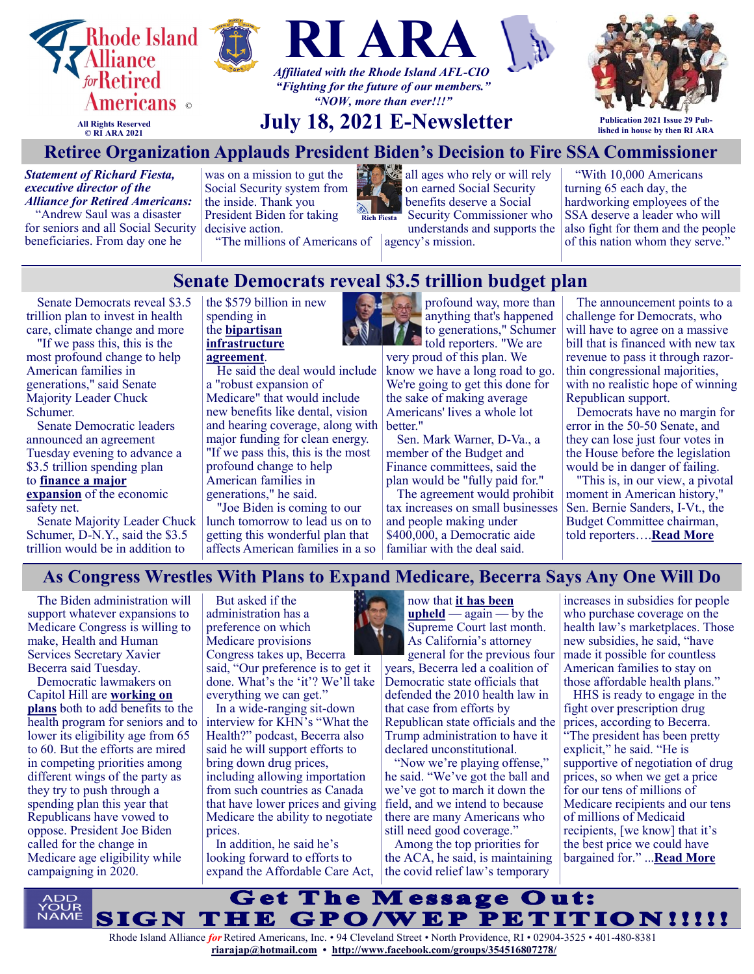





*"Fighting for the future of our members." "NOW, more than ever!!!"*



**lished in house by then RI ARA**

**July 18, 2021 E-Newsletter** Publication 2021 Issue 29 Pub

#### **Retiree Organization Applauds President Biden's Decision to Fire SSA Commissioner**

*Statement of Richard Fiesta, executive director of the Alliance for Retired Americans:*

**All Rights Reserved © RI ARA 2021**

"Andrew Saul was a disaster for seniors and all Social Security beneficiaries. From day one he

was on a mission to gut the Social Security system from the inside. Thank you President Biden for taking decisive action.

"The millions of Americans of



understands and supports the agency's mission.

"With 10,000 Americans turning 65 each day, the hardworking employees of the SSA deserve a leader who will also fight for them and the people of this nation whom they serve."

#### **Senate Democrats reveal \$3.5 trillion budget plan**

Senate Democrats reveal \$3.5 trillion plan to invest in health care, climate change and more

"If we pass this, this is the most profound change to help American families in generations," said Senate Majority Leader Chuck Schumer.

Senate Democratic leaders announced an agreement Tuesday evening to advance a \$3.5 trillion spending plan to **[finance a major](https://www.nbcnews.com/politics/congress/democrats-plow-ahead-partisan-infrastructure-spending-measure-n1273801)  [expansion](https://www.nbcnews.com/politics/congress/democrats-plow-ahead-partisan-infrastructure-spending-measure-n1273801)** of the economic

safety net. Senate Majority Leader Chuck Schumer, D-N.Y., said the \$3.5 trillion would be in addition to

#### the \$579 billion in new spending in the **[bipartisan](https://www.nbcnews.com/politics/congress/we-have-deal-biden-announces-bipartisan-infrastructure-agreement-n1272284)  [infrastructure](https://www.nbcnews.com/politics/congress/we-have-deal-biden-announces-bipartisan-infrastructure-agreement-n1272284)  [agreement](https://www.nbcnews.com/politics/congress/we-have-deal-biden-announces-bipartisan-infrastructure-agreement-n1272284)**.

He said the deal would include a "robust expansion of Medicare" that would include new benefits like dental, vision and hearing coverage, along with better." major funding for clean energy. "If we pass this, this is the most profound change to help American families in generations," he said.

"Joe Biden is coming to our lunch tomorrow to lead us on to getting this wonderful plan that affects American families in a so

profound way, more than anything that's happened to generations," Schumer told reporters. "We are

very proud of this plan. We know we have a long road to go. We're going to get this done for the sake of making average Americans' lives a whole lot

Sen. Mark Warner, D-Va., a member of the Budget and Finance committees, said the plan would be "fully paid for."

The agreement would prohibit tax increases on small businesses and people making under \$400,000, a Democratic aide familiar with the deal said.

The announcement points to a challenge for Democrats, who will have to agree on a massive bill that is financed with new tax revenue to pass it through razorthin congressional majorities, with no realistic hope of winning Republican support.

Democrats have no margin for error in the 50-50 Senate, and they can lose just four votes in the House before the legislation would be in danger of failing.

"This is, in our view, a pivotal moment in American history," Sen. Bernie Sanders, I-Vt., the Budget Committee chairman, told reporters….**[Read More](https://www.nbcnews.com/politics/congress/senate-democrats-reveal-3-5-trillion-plan-invest-health-care-n1273893)**

#### **As Congress Wrestles With Plans to Expand Medicare, Becerra Says Any One Will Do**

The Biden administration will support whatever expansions to Medicare Congress is willing to make, Health and Human Services Secretary Xavier Becerra said Tuesday.

Democratic lawmakers on Capitol Hill are **[working on](https://www.washingtonpost.com/politics/2021/07/07/health-202-expansions-could-be-coming-medicare/)  [plans](https://www.washingtonpost.com/politics/2021/07/07/health-202-expansions-could-be-coming-medicare/)** both to add benefits to the health program for seniors and to lower its eligibility age from 65 to 60. But the efforts are mired in competing priorities among different wings of the party as they try to push through a spending plan this year that Republicans have vowed to oppose. President Joe Biden called for the change in Medicare age eligibility while campaigning in 2020.

But asked if the administration has a preference on which Medicare provisions Congress takes up, Becerra

said, "Our preference is to get it done. What's the 'it'? We'll take everything we can get."

In a wide-ranging sit-down interview for KHN's "What the Health?" podcast, Becerra also said he will support efforts to bring down drug prices, including allowing importation from such countries as Canada that have lower prices and giving Medicare the ability to negotiate prices.

In addition, he said he's looking forward to efforts to expand the Affordable Care Act,



general for the previous four years, Becerra led a coalition of Democratic state officials that defended the 2010 health law in that case from efforts by Republican state officials and the Trump administration to have it declared unconstitutional.

"Now we're playing offense," he said. "We've got the ball and we've got to march it down the field, and we intend to because there are many Americans who still need good coverage."

Among the top priorities for the ACA, he said, is maintaining the covid relief law's temporary

increases in subsidies for people who purchase coverage on the health law's marketplaces. Those new subsidies, he said, "have made it possible for countless American families to stay on those affordable health plans."

HHS is ready to engage in the fight over prescription drug prices, according to Becerra. "The president has been pretty explicit," he said. "He is supportive of negotiation of drug prices, so when we get a price for our tens of millions of Medicare recipients and our tens of millions of Medicaid recipients, [we know] that it's the best price we could have bargained for." ...**[Read More](https://khn.org/news/article/interview-xavier-becerra-medicare-expansion/)**

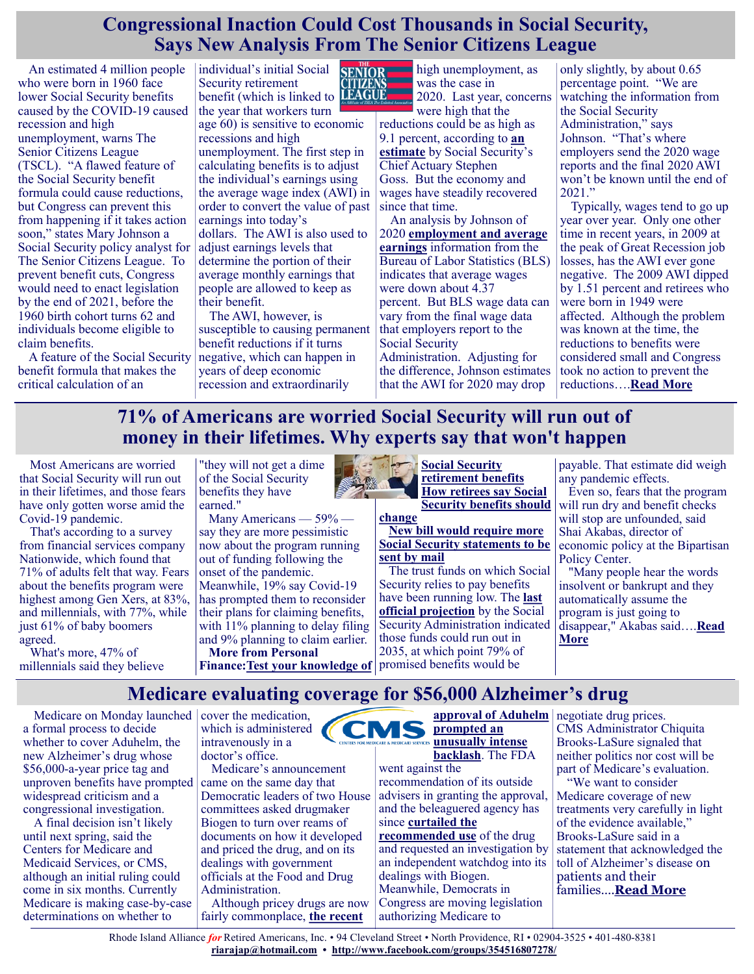#### **Congressional Inaction Could Cost Thousands in Social Security, Says New Analysis From The Senior Citizens League**

An estimated 4 million people who were born in 1960 face lower Social Security benefits caused by the COVID-19 caused recession and high unemployment, warns The Senior Citizens League (TSCL). "A flawed feature of the Social Security benefit formula could cause reductions, but Congress can prevent this from happening if it takes action soon," states Mary Johnson a Social Security policy analyst for The Senior Citizens League. To prevent benefit cuts, Congress would need to enact legislation by the end of 2021, before the 1960 birth cohort turns 62 and individuals become eligible to claim benefits.

A feature of the Social Security benefit formula that makes the critical calculation of an

individual's initial Social Security retirement Security retirement<br>benefit (which is linked to **LEAGUE** the year that workers turn age 60) is sensitive to economic recessions and high unemployment. The first step in calculating benefits is to adjust the individual's earnings using the average wage index (AWI) in order to convert the value of past earnings into today's dollars. The AWI is also used to adjust earnings levels that determine the portion of their average monthly earnings that people are allowed to keep as their benefit.

The AWI, however, is susceptible to causing permanent benefit reductions if it turns negative, which can happen in years of deep economic recession and extraordinarily



**SENIOR** high unemployment, as was the case in 2020. Last year, concerns were high that the

reductions could be as high as 9.1 percent, according to **[an](https://www.ssa.gov/legislation/testimony_071720.html)  [estimate](https://www.ssa.gov/legislation/testimony_071720.html)** by Social Security's Chief Actuary Stephen Goss. But the economy and wages have steadily recovered since that time.

An analysis by Johnson of 2020 **[employment](https://www.bls.gov/ces/) and average [earnings](https://www.bls.gov/bls/news-release/realer.htm)** information from the Bureau of Labor Statistics (BLS) indicates that average wages were down about 4.37 percent. But BLS wage data can vary from the final wage data that employers report to the Social Security Administration. Adjusting for the difference, Johnson estimates that the AWI for 2020 may drop

only slightly, by about 0.65 percentage point. "We are watching the information from the Social Security Administration," says Johnson. "That's where employers send the 2020 wage reports and the final 2020 AWI won't be known until the end of 2021."

Typically, wages tend to go up year over year. Only one other time in recent years, in 2009 at the peak of Great Recession job losses, has the AWI ever gone negative. The 2009 AWI dipped by 1.51 percent and retirees who were born in 1949 were affected. Although the problem was known at the time, the reductions to benefits were considered small and Congress took no action to prevent the reductions….**[Read More](https://seniorsleague.org/9313-2/)**

# **71% of Americans are worried Social Security will run out of money in their lifetimes. Why experts say that won't happen**

Most Americans are worried that Social Security will run out in their lifetimes, and those fears have only gotten worse amid the Covid-19 pandemic.

That's according to a survey from financial services company Nationwide, which found that 71% of adults felt that way. Fears about the benefits program were highest among Gen Xers, at 83%, and millennials, with 77%, while just 61% of baby boomers agreed.

What's more, 47% of millennials said they believe

"they will not get a dime of the Social Security benefits they have earned."

Many Americans — 59% say they are more pessimistic now about the program running out of funding following the onset of the pandemic. Meanwhile, 19% say Covid-19 has prompted them to reconsider their plans for claiming benefits, with 11% planning to delay filing and 9% planning to claim earlier. **More from Personal Finance[:Test your knowledge of](https://www.cnbc.com/2021/07/04/claiming-social-security-take-this-quiz-to-see-how-much-you-know.html?&doc=106906991)** 



**[retirement benefits](https://www.cnbc.com/2021/07/04/claiming-social-security-take-this-quiz-to-see-how-much-you-know.html?&doc=106906991) [How retirees say Social](https://www.cnbc.com/2021/06/17/struggling-on-social-security-how-retirees-say-benefits-should-change.html?&doc=106906991)  [Security benefits should](https://www.cnbc.com/2021/06/17/struggling-on-social-security-how-retirees-say-benefits-should-change.html?&doc=106906991)** 

#### **[change](https://www.cnbc.com/2021/06/17/struggling-on-social-security-how-retirees-say-benefits-should-change.html?&doc=106906991) [New bill would require more](https://www.cnbc.com/2021/06/25/social-security-may-send-more-mailed-annual-statements-under-new-bill.html?&doc=106906991)  [Social Security statements to be](https://www.cnbc.com/2021/06/25/social-security-may-send-more-mailed-annual-statements-under-new-bill.html?&doc=106906991)  [sent by mail](https://www.cnbc.com/2021/06/25/social-security-may-send-more-mailed-annual-statements-under-new-bill.html?&doc=106906991)**

The trust funds on which Social Security relies to pay benefits have been running low. The **[last](https://www.ssa.gov/news/press/releases/2020/#4-2020-5)  [official projection](https://www.ssa.gov/news/press/releases/2020/#4-2020-5)** by the Social Security Administration indicated those funds could run out in 2035, at which point 79% of promised benefits would be

payable. That estimate did weigh any pandemic effects.

Even so, fears that the program will run dry and benefit checks will stop are unfounded, said Shai Akabas, director of economic policy at the Bipartisan Policy Center.

"Many people hear the words insolvent or bankrupt and they automatically assume the program is just going to disappear," Akabas said….**[Read](https://www.msn.com/en-us/money/retirement/71-of-americans-are-worried-social-security-will-run-out-of-money-in-their-lifetimes-why-experts-say-that-won-t-happen/ar-AALQl6m?ocid=SK2DDHP)  [More](https://www.msn.com/en-us/money/retirement/71-of-americans-are-worried-social-security-will-run-out-of-money-in-their-lifetimes-why-experts-say-that-won-t-happen/ar-AALQl6m?ocid=SK2DDHP)**

# **Medicare evaluating coverage for \$56,000 Alzheimer's drug**

Medicare on Monday launched cover the medication, a formal process to decide whether to cover Aduhelm, the new Alzheimer's drug whose \$56,000-a-year price tag and unproven benefits have prompted widespread criticism and a congressional investigation.

A final decision isn't likely until next spring, said the Centers for Medicare and Medicaid Services, or CMS, although an initial ruling could come in six months. Currently Medicare is making case-by-case determinations on whether to

which is administered intravenously in a doctor's office.

Medicare's announcement came on the same day that Democratic leaders of two House committees asked drugmaker Biogen to turn over reams of documents on how it developed and priced the drug, and on its dealings with government officials at the Food and Drug Administration.

Although pricey drugs are now fairly commonplace, **[the recent](https://apnews.com/article/science-government-and-politics-business-health-2147d824af9cfde629041d83d9ca7a8d)** 



went against the recommendation of its outside advisers in granting the approval, and the beleaguered agency has since **[curtailed the](https://apnews.com/article/science-business-health-8c3f0633453fcb8e87b83baa452753b3)  [recommended use](https://apnews.com/article/science-business-health-8c3f0633453fcb8e87b83baa452753b3)** of the drug and requested an investigation by an independent watchdog into its dealings with Biogen. Meanwhile, Democrats in Congress are moving legislation authorizing Medicare to

**[approval of Aduhelm](https://apnews.com/article/science-government-and-politics-business-health-2147d824af9cfde629041d83d9ca7a8d)**  negotiate drug prices. CMS Administrator Chiquita Brooks-LaSure signaled that neither politics nor cost will be part of Medicare's evaluation.

"We want to consider Medicare coverage of new treatments very carefully in light of the evidence available," Brooks-LaSure said in a statement that acknowledged the toll of Alzheimer's disease on patients and their families….**[Read More](https://apnews.com/article/business-health-government-and-politics-medicare-d68476e7c6f8eae33ab8a969feeeb1d1)**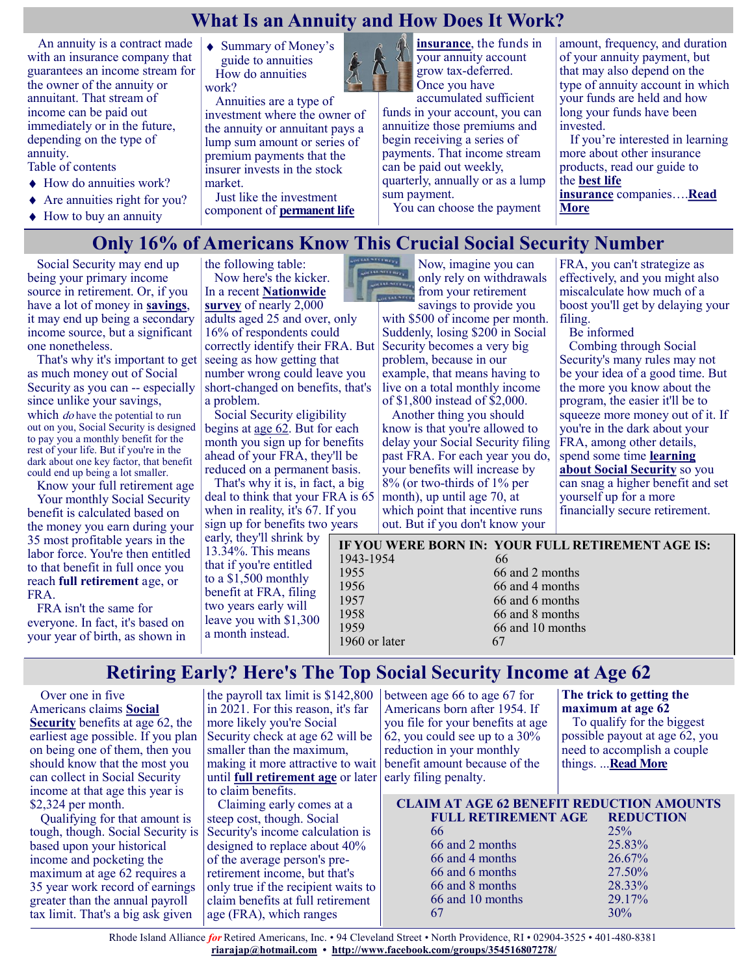# **What Is an Annuity and How Does It Work?**

An annuity is a contract made with an insurance company that guarantees an income stream for the owner of the annuity or annuitant. That stream of income can be paid out immediately or in the future, depending on the type of annuity.

Table of contents

- ◆ How do annuities work?
- $\triangle$  Are annuities right for you?
- ◆ How to buy an annuity

◆ Summary of Money's guide to annuities How do annuities work?

Annuities are a type of investment where the owner of the annuity or annuitant pays a lump sum amount or series of premium payments that the insurer invests in the stock market.

Just like the investment component of **permanent life**  **[insurance](https://money.com/life-insurance-beginners/)**, the funds in your annuity account grow tax-deferred. Once you have

accumulated sufficient funds in your account, you can annuitize those premiums and begin receiving a series of payments. That income stream can be paid out weekly, quarterly, annually or as a lump sum payment.

You can choose the payment

amount, frequency, and duration of your annuity payment, but that may also depend on the type of annuity account in which your funds are held and how long your funds have been invested.

If you're interested in learning more about other insurance products, read our guide to the **[best life](https://money.com/best-life-insurance/)  [insurance](https://money.com/best-life-insurance/)** companies….**[Read](https://www.msn.com/en-us/money/savingandinvesting/what-is-an-annuity-and-how-does-it-work/ar-AALTe1F?ocid=SK2DDHP)  [More](https://www.msn.com/en-us/money/savingandinvesting/what-is-an-annuity-and-how-does-it-work/ar-AALTe1F?ocid=SK2DDHP)**

# **Only 16% of Americans Know This Crucial Social Security Number**

Social Security may end up being your primary income source in retirement. Or, if you have a lot of money in **[savings](https://www.fool.com/retirement/2021/07/06/3-ways-to-grow-100000-into-1-million-for-retiremen/?utm_source=msnrss&utm_medium=feed&utm_campaign=article&referring_guid=d7a59940-23ff-4189-aa68-1244387e5405)**, it may end up being a secondary income source, but a significant one nonetheless.

That's why it's important to get as much money out of Social Security as you can -- especially since unlike your savings, which *do* have the potential to run out on you, Social Security is designed to pay you a monthly benefit for the rest of your life. But if you're in the dark about one key factor, that benefit could end up being a lot smaller.

Know your full retirement age Your monthly Social Security benefit is calculated based on the money you earn during your 35 most profitable years in the labor force. You're then entitled to that benefit in full once you reach **[full retirement](https://www.fool.com/retirement/2019/07/05/is-social-securitys-full-retirement-age-the-same-f.aspx?utm_source=msnrss&utm_medium=feed&utm_campaign=article&referring_guid=d7a59940-23ff-4189-aa68-1244387e5405)** age, or FRA.

FRA isn't the same for everyone. In fact, it's based on your year of birth, as shown in

the following table: Now here's the kicker. In a recent **[Nationwide](https://nationwidefinancial.com/media/pdf/NFM-20936AO.pdf)  [survey](https://nationwidefinancial.com/media/pdf/NFM-20936AO.pdf)** of nearly 2,000 adults aged 25 and over, only 16% of respondents could correctly identify their FRA. But seeing as how getting that number wrong could leave you short-changed on benefits, that's a problem.

Social Security eligibility begins at [age 62.](https://www.fool.com/retirement/2021/07/05/3-great-reasons-to-take-social-security-benefits-a/?utm_source=msnrss&utm_medium=feed&utm_campaign=article&referring_guid=d7a59940-23ff-4189-aa68-1244387e5405) But for each month you sign up for benefits ahead of your FRA, they'll be reduced on a permanent basis.

That's why it is, in fact, a big deal to think that your FRA is 65 when in reality, it's 67. If you sign up for benefits two years

early, they'll shi 13.34%. This that if you're e to a  $$1,500$  m benefit at FRA two years early leave you with a month instea



with \$500 of income per month. Suddenly, losing \$200 in Social Security becomes a very big problem, because in our example, that means having to live on a total monthly income of \$1,800 instead of \$2,000.

Another thing you should know is that you're allowed to delay your Social Security filing past FRA. For each year you do, your benefits will increase by 8% (or two-thirds of 1% per month), up until age 70, at which point that incentive runs out. But if you don't know your

FRA, you can't strategize as effectively, and you might also miscalculate how much of a boost you'll get by delaying your filing.

Be informed

Combing through Social Security's many rules may not be your idea of a good time. But the more you know about the program, the easier it'll be to squeeze more money out of it. If you're in the dark about your FRA, among other details, spend some time **[learning](https://www.fool.com/retirement/social-security/?utm_source=msnrss&utm_medium=feed&utm_campaign=article&referring_guid=d7a59940-23ff-4189-aa68-1244387e5405)  [about Social Security](https://www.fool.com/retirement/social-security/?utm_source=msnrss&utm_medium=feed&utm_campaign=article&referring_guid=d7a59940-23ff-4189-aa68-1244387e5405)** so you can snag a higher benefit and set yourself up for a more financially secure retirement.

| nrink by                                                               |                                                   |                                                                                                                                                         |  |
|------------------------------------------------------------------------|---------------------------------------------------|---------------------------------------------------------------------------------------------------------------------------------------------------------|--|
| means<br>entitled<br>onthly<br>A, filing<br>y will<br>1 \$1,300<br>ad. | 1943-1954<br>1955<br>1956<br>1957<br>1958<br>1959 | IF YOU WERE BORN IN: YOUR FULL RETIREMENT AGE IS:<br>66<br>66 and 2 months<br>66 and 4 months<br>66 and 6 months<br>66 and 8 months<br>66 and 10 months |  |
|                                                                        | 1960 or later                                     | 67                                                                                                                                                      |  |
|                                                                        |                                                   |                                                                                                                                                         |  |

# **Retiring Early? Here's The Top Social Security Income at Age 62**

Over one in five Americans claims **[Social](https://www.fool.com/retirement/social-security/?utm_source=msnrss&utm_medium=feed&utm_campaign=article&referring_guid=3e371810-9c6d-4caf-bc38-f292fab60aea)  [Security](https://www.fool.com/retirement/social-security/?utm_source=msnrss&utm_medium=feed&utm_campaign=article&referring_guid=3e371810-9c6d-4caf-bc38-f292fab60aea)** benefits at age 62, the earliest age possible. If you plan on being one of them, then you should know that the most you can collect in Social Security income at that age this year is \$2,324 per month.

Qualifying for that amount is tough, though. Social Security is based upon your historical income and pocketing the maximum at age 62 requires a 35 year work record of earnings greater than the annual payroll tax limit. That's a big ask given

the payroll tax limit is \$142,800 between age 66 to age 67 for in 2021. For this reason, it's far more likely you're Social Security check at age 62 will be smaller than the maximum, making it more attractive to wait until **[full retirement age](https://www.fool.com/retirement/social-security/full-retirement-age/?utm_source=msnrss&utm_medium=feed&utm_campaign=article&referring_guid=3e371810-9c6d-4caf-bc38-f292fab60aea)** or later to claim benefits.

Claiming early comes at a steep cost, though. Social Security's income calculation is designed to replace about 40% of the average person's preretirement income, but that's only true if the recipient waits to claim benefits at full retirement age (FRA), which ranges

Americans born after 1954. If you file for your benefits at age 62, you could see up to a 30% reduction in your monthly benefit amount because of the early filing penalty.

**The trick to getting the maximum at age 62**

To qualify for the biggest possible payout at age 62, you need to accomplish a couple things. ...**[Read More](https://www.msn.com/en-us/money/retirement/retiring-early-here-s-the-top-social-security-income-at-age-62/ar-AAM1SWq?ocid=SK2DDHP)**

| <b>CLAIM AT AGE 62 BENEFIT REDUCTION AMOUNTS</b> |                  |  |  |  |  |
|--------------------------------------------------|------------------|--|--|--|--|
| <b>FULL RETIREMENT AGE</b>                       | <b>REDUCTION</b> |  |  |  |  |
| 66                                               | 25%              |  |  |  |  |
| 66 and 2 months                                  | 25.83%           |  |  |  |  |
| 66 and 4 months                                  | 26.67%           |  |  |  |  |
| 66 and 6 months                                  | 27.50%           |  |  |  |  |
| 66 and 8 months                                  | 28.33%           |  |  |  |  |
| 66 and 10 months                                 | 29.17%           |  |  |  |  |
|                                                  | 30%              |  |  |  |  |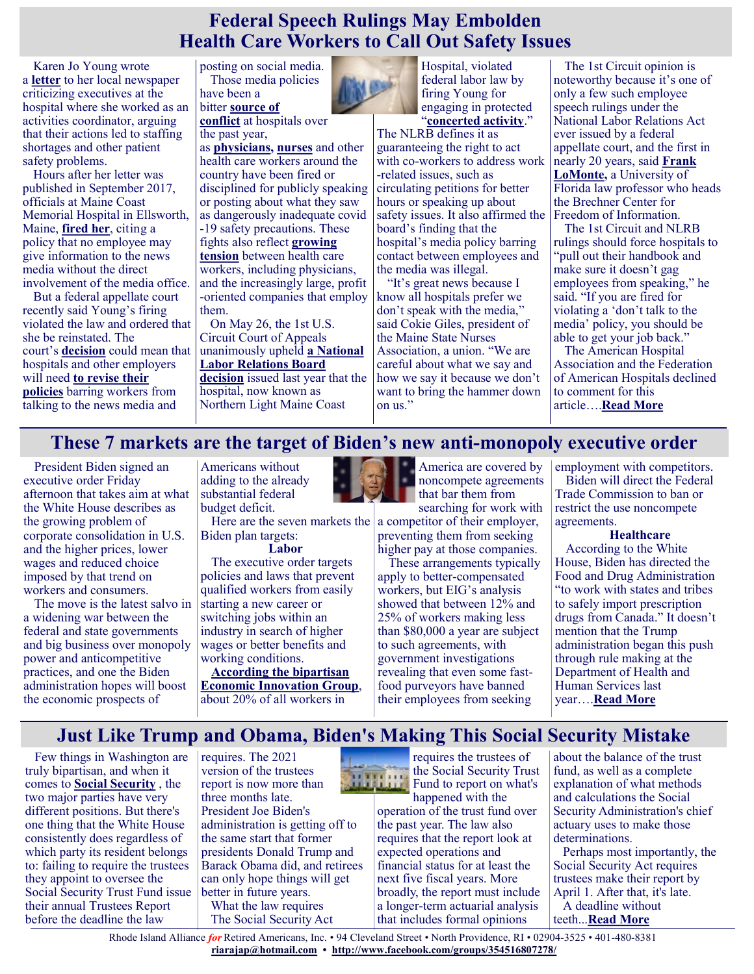# **Federal Speech Rulings May Embolden Health Care Workers to Call Out Safety Issues**

Karen Jo Young wrote a **[letter](https://www.ellsworthamerican.com/opinions/unrest-mcmh-not-surprise/)** to her local newspaper criticizing executives at the hospital where she worked as an activities coordinator, arguing that their actions led to staffing shortages and other patient safety problems.

Hours after her letter was published in September 2017, officials at Maine Coast Memorial Hospital in Ellsworth, Maine, **[fired her](https://www.ellsworthamerican.com/featured/mcmh-staffer-loses-job-letter-published/)**, citing a policy that no employee may give information to the news media without the direct involvement of the media office.

But a federal appellate court recently said Young's firing violated the law and ordered that she be reinstated. The court's **[decision](http://media.ca1.uscourts.gov/pdf.opinions/20-1589P-01A.pdf)** could mean that hospitals and other employers will need **[to revise their](https://www.courthousenews.com/speech-rights-of-health-workers-bolstered-by-appeals-court-ruling/)  [policies](https://www.courthousenews.com/speech-rights-of-health-workers-bolstered-by-appeals-court-ruling/)** barring workers from talking to the news media and

posting on social media. Those media policies have been a

bitter **[source of](https://www.nytimes.com/2020/04/09/business/coronavirus-health-workers-speak-out.html)  [conflict](https://www.nytimes.com/2020/04/09/business/coronavirus-health-workers-speak-out.html)** at hospitals over the past year,

as **[physicians,](https://mississippitoday.org/2020/04/05/two-mississippi-doctors-fired-after-speaking-out-about-coronavirus-safety/) [nurses](https://www.wgvunews.org/post/fired-nurse-files-lawsuit-against-mercy-health-muskegon-circuit-court)** and other health care workers around the country have been fired or disciplined for publicly speaking or posting about what they saw as dangerously inadequate covid -19 safety precautions. These fights also reflect **[growing](https://www.nytimes.com/2020/03/31/health/hospitals-coronavirus-face-masks.html)  [tension](https://www.nytimes.com/2020/03/31/health/hospitals-coronavirus-face-masks.html)** between health care workers, including physicians, and the increasingly large, profit -oriented companies that employ them.

On May 26, the 1st U.S. Circuit Court of Appeals unanimously upheld **[a National](https://www.maineemploymentlawyerblog.com/files/2020/03/BDO.01-CA-209105.Maine-Coast-Memorial-Hospital-CONFORMED.pdf)  [Labor Relations Board](https://www.maineemploymentlawyerblog.com/files/2020/03/BDO.01-CA-209105.Maine-Coast-Memorial-Hospital-CONFORMED.pdf)  [decision](https://www.maineemploymentlawyerblog.com/files/2020/03/BDO.01-CA-209105.Maine-Coast-Memorial-Hospital-CONFORMED.pdf)** issued last year that the hospital, now known as Northern Light Maine Coast

Hospital, violated federal labor law by firing Young for engaging in protected "**[concerted activity](https://www.nlrb.gov/about-nlrb/rights-we-protect/the-law/employees/concerted-activity)**."

The NLRB defines it as guaranteeing the right to act with co-workers to address work -related issues, such as circulating petitions for better hours or speaking up about safety issues. It also affirmed the board's finding that the hospital's media policy barring contact between employees and the media was illegal.

"It's great news because I know all hospitals prefer we don't speak with the media," said Cokie Giles, president of the Maine State Nurses Association, a union. "We are careful about what we say and how we say it because we don't want to bring the hammer down on us."

The 1st Circuit opinion is noteworthy because it's one of only a few such employee speech rulings under the National Labor Relations Act ever issued by a federal appellate court, and the first in nearly 20 years, said **[Frank](https://www.jou.ufl.edu/staff/frank-lomonte/)  [LoMonte,](https://www.jou.ufl.edu/staff/frank-lomonte/)** a University of Florida law professor who heads the Brechner Center for Freedom of Information.

The 1st Circuit and NLRB rulings should force hospitals to "pull out their handbook and make sure it doesn't gag employees from speaking," he said. "If you are fired for violating a 'don't talk to the media' policy, you should be able to get your job back."

The American Hospital Association and the Federation of American Hospitals declined to comment for this article….**[Read More](https://khn.org/news/article/federal-speech-rulings-may-embolden-health-care-workers-to-call-out-safety-issues/)**

# **These 7 markets are the target of Biden's new anti-monopoly executive order**

President Biden signed an executive order Friday afternoon that takes aim at what the White House describes as the growing problem of corporate consolidation in U.S. and the higher prices, lower wages and reduced choice imposed by that trend on workers and consumers.

The move is the latest salvo in a widening war between the federal and state governments and big business over monopoly power and anticompetitive practices, and one the Biden administration hopes will boost the economic prospects of

Americans without adding to the already substantial federal budget deficit.

Biden plan targets:

**Labor**

The executive order targets policies and laws that prevent qualified workers from easily starting a new career or switching jobs within an industry in search of higher wages or better benefits and working conditions.

**[According the bipartisan](https://eig.org/news/the-case-for-non-compete-reform)  [Economic Innovation Group](https://eig.org/news/the-case-for-non-compete-reform)**, about 20% of all workers in



America are covered by noncompete agreements that bar them from searching for work with

Here are the seven markets the a competitor of their employer, preventing them from seeking higher pay at those companies.

These arrangements typically apply to better-compensated workers, but EIG's analysis showed that between 12% and 25% of workers making less than \$80,000 a year are subject to such agreements, with government investigations revealing that even some fastfood purveyors have banned their employees from seeking

employment with competitors. Biden will direct the Federal Trade Commission to ban or restrict the use noncompete agreements.

#### **Healthcare**

According to the White House, Biden has directed the Food and Drug Administration "to work with states and tribes to safely import prescription drugs from Canada." It doesn't mention that the Trump administration began this push through rule making at the Department of Health and Human Services last year….**[Read More](https://www.msn.com/en-us/money/markets/these-7-markets-are-the-target-of-biden-s-new-anti-monopoly-executive-order/ar-AALYtmn?ocid=SK2DDHP)**

# **Just Like Trump and Obama, Biden's Making This Social Security Mistake**

Few things in Washington are truly bipartisan, and when it comes to **[Social Security](https://www.fool.com/retirement/social-security/?utm_source=msnrss&utm_medium=feed&utm_campaign=article&referring_guid=80162c4c-0f5d-44a6-a3be-e99fe25c67b4)** , the two major parties have very different positions. But there's one thing that the White House consistently does regardless of which party its resident belongs to: failing to require the trustees they appoint to oversee the Social Security Trust Fund issue their annual Trustees Report before the deadline the law

requires. The 2021 version of the trustees report is now more than three months late. President Joe Biden's administration is getting off to the same start that former presidents Donald Trump and Barack Obama did, and retirees can only hope things will get better in future years. What the law requires The Social Security Act



requires the trustees of the Social Security Trust Fund to report on what's happened with the

operation of the trust fund over the past year. The law also requires that the report look at expected operations and financial status for at least the next five fiscal years. More broadly, the report must include a longer-term actuarial analysis that includes formal opinions

about the balance of the trust fund, as well as a complete explanation of what methods and calculations the Social Security Administration's chief actuary uses to make those determinations.

Perhaps most importantly, the Social Security Act requires trustees make their report by April 1. After that, it's late. A deadline without teeth...**[Read More](https://www.msn.com/en-us/news/other/just-like-trump-and-obama-bidens-making-this-social-security-mistake/ar-AAM1DjW?ocid=SK2DDHP&li=BBnb7Kz)**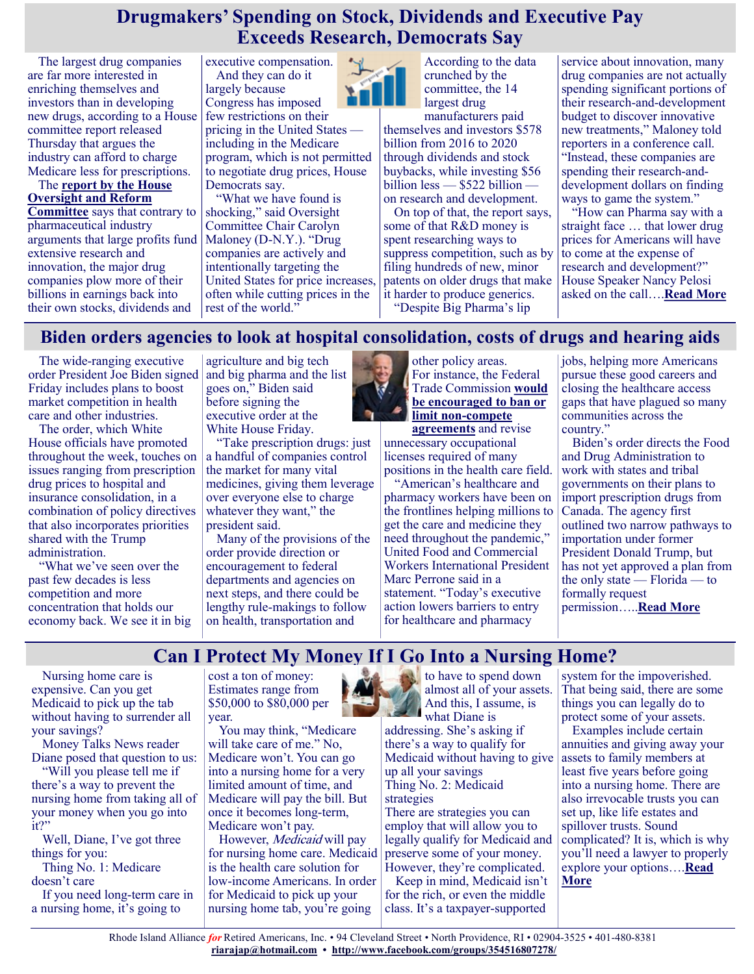#### **Drugmakers' Spending on Stock, Dividends and Executive Pay Exceeds Research, Democrats Say**

The largest drug companies are far more interested in enriching themselves and investors than in developing new drugs, according to a House committee report released Thursday that argues the industry can afford to charge Medicare less for prescriptions.

The **[report by the House](https://oversight.house.gov/sites/democrats.oversight.house.gov/files/COR%20Staff%20Report%20-%20Pharmaceutical%20Industry%20Buybacks%20Dividends%20Compared%20to%20Research.pdf)  [Oversight and Reform](https://oversight.house.gov/sites/democrats.oversight.house.gov/files/COR%20Staff%20Report%20-%20Pharmaceutical%20Industry%20Buybacks%20Dividends%20Compared%20to%20Research.pdf)  [Committee](https://oversight.house.gov/sites/democrats.oversight.house.gov/files/COR%20Staff%20Report%20-%20Pharmaceutical%20Industry%20Buybacks%20Dividends%20Compared%20to%20Research.pdf)** says that contrary to pharmaceutical industry arguments that large profits fund extensive research and innovation, the major drug companies plow more of their billions in earnings back into their own stocks, dividends and

executive compensation. And they can do it largely because Congress has imposed

few restrictions on their pricing in the United States including in the Medicare program, which is not permitted to negotiate drug prices, House Democrats say.

"What we have found is shocking," said Oversight Committee Chair Carolyn Maloney (D-N.Y.). "Drug companies are actively and intentionally targeting the United States for price increases, often while cutting prices in the rest of the world."



According to the data crunched by the committee, the 14 largest drug manufacturers paid

themselves and investors \$578 billion from 2016 to 2020 through dividends and stock buybacks, while investing \$56 billion less — \$522 billion on research and development.

On top of that, the report says, some of that R&D money is spent researching ways to suppress competition, such as by filing hundreds of new, minor patents on older drugs that make it harder to produce generics. "Despite Big Pharma's lip

service about innovation, many drug companies are not actually spending significant portions of their research-and-development budget to discover innovative new treatments," Maloney told reporters in a conference call. "Instead, these companies are spending their research-anddevelopment dollars on finding ways to game the system."

"How can Pharma say with a straight face … that lower drug prices for Americans will have to come at the expense of research and development?" House Speaker Nancy Pelosi asked on the call….**[Read More](https://khn.org/news/article/drugmakers-spending-on-stock-dividends-and-executive-pay-exceeds-research-democrats-say/)**

#### **Biden orders agencies to look at hospital consolidation, costs of drugs and hearing aids**

The wide-ranging executive order President Joe Biden signed Friday includes plans to boost market competition in health care and other industries.

The order, which White House officials have promoted throughout the week, touches on issues ranging from prescription drug prices to hospital and insurance consolidation, in a combination of policy directives that also incorporates priorities shared with the Trump administration.

"What we've seen over the past few decades is less competition and more concentration that holds our economy back. We see it in big

agriculture and big tech and big pharma and the list goes on," Biden said before signing the executive order at the White House Friday.

"Take prescription drugs: just a handful of companies control the market for many vital medicines, giving them leverage over everyone else to charge whatever they want," the president said.

Many of the provisions of the order provide direction or encouragement to federal departments and agencies on next steps, and there could be lengthy rule-makings to follow on health, transportation and



other policy areas. For instance, the Federal Trade Commission **[would](https://www.rollcall.com/2021/07/07/biden-to-target-noncompete-clauses-wage-collusion/)  [be encouraged to ban or](https://www.rollcall.com/2021/07/07/biden-to-target-noncompete-clauses-wage-collusion/)  [limit non](https://www.rollcall.com/2021/07/07/biden-to-target-noncompete-clauses-wage-collusion/)-compete** 

**[agreements](https://www.rollcall.com/2021/07/07/biden-to-target-noncompete-clauses-wage-collusion/)** and revise unnecessary occupational licenses required of many positions in the health care field.

"American's healthcare and pharmacy workers have been on the frontlines helping millions to get the care and medicine they need throughout the pandemic," United Food and Commercial Workers International President Marc Perrone said in a statement. "Today's executive action lowers barriers to entry for healthcare and pharmacy

jobs, helping more Americans pursue these good careers and closing the healthcare access gaps that have plagued so many communities across the country."

Biden's order directs the Food and Drug Administration to work with states and tribal governments on their plans to import prescription drugs from Canada. The agency first outlined two narrow pathways to importation under former President Donald Trump, but has not yet approved a plan from the only state — Florida — to formally request permission…..**[Read More](https://www.rollcall.com/2021/07/09/biden-orders-agencies-to-look-at-hospital-consolidation-costs-of-drugs-and-hearing-aids/)**

# **Can I Protect My Money If I Go Into a Nursing Home?**

Nursing home care is expensive. Can you get Medicaid to pick up the tab without having to surrender all your savings?

Money Talks News reader Diane posed that question to us:

"Will you please tell me if there's a way to prevent the nursing home from taking all of your money when you go into it?"

Well, Diane, I've got three things for you:

Thing No. 1: Medicare doesn't care

If you need long-term care in a nursing home, it's going to

cost a ton of money: Estimates range from \$50,000 to \$80,000 per year.

You may think, "Medicare will take care of me." No, Medicare won't. You can go into a nursing home for a very limited amount of time, and Medicare will pay the bill. But once it becomes long-term, Medicare won't pay.

However, Medicaid will pay for nursing home care. Medicaid is the health care solution for low-income Americans. In order for Medicaid to pick up your nursing home tab, you're going



to have to spend down almost all of your assets. And this, I assume, is

what Diane is addressing. She's asking if there's a way to qualify for Medicaid without having to give up all your savings Thing No. 2: Medicaid strategies

There are strategies you can employ that will allow you to legally qualify for Medicaid and preserve some of your money. However, they're complicated.

Keep in mind, Medicaid isn't for the rich, or even the middle class. It's a taxpayer-supported

system for the impoverished. That being said, there are some things you can legally do to protect some of your assets.

Examples include certain annuities and giving away your assets to family members at least five years before going into a nursing home. There are also irrevocable trusts you can set up, like life estates and spillover trusts. Sound complicated? It is, which is why you'll need a lawyer to properly explore your options….**[Read](https://www.msn.com/en-us/money/other/can-i-protect-my-money-if-i-go-into-a-nursing-home/ar-AAM3yNd?ocid=SK2DDHP)  [More](https://www.msn.com/en-us/money/other/can-i-protect-my-money-if-i-go-into-a-nursing-home/ar-AAM3yNd?ocid=SK2DDHP)**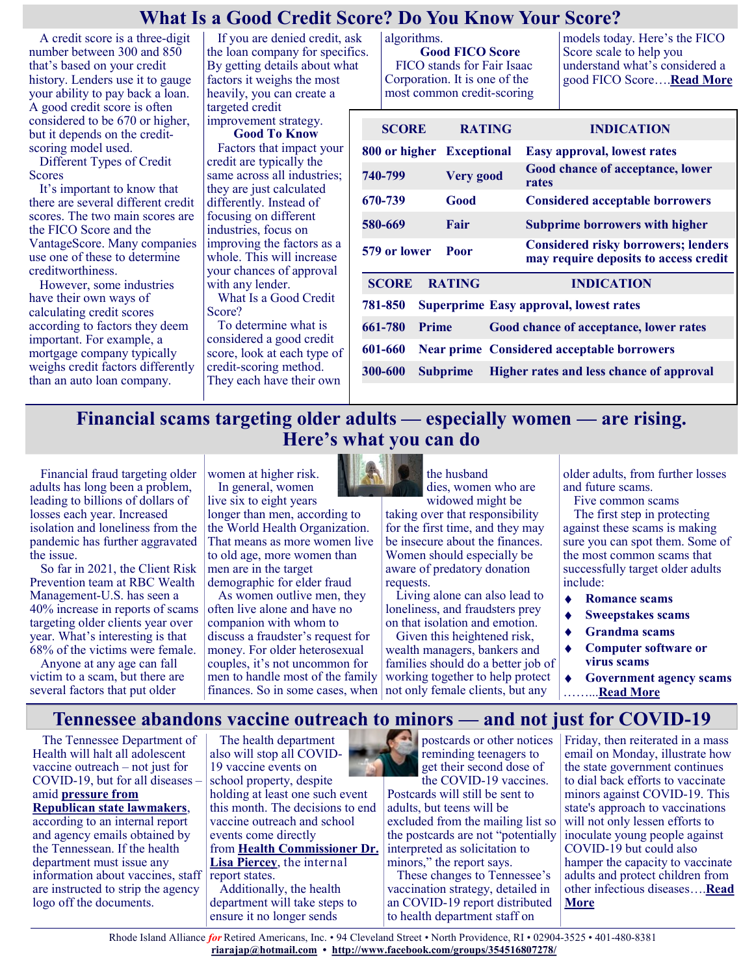#### **What Is a Good Credit Score? Do You Know Your Score?**

A credit score is a three-digit number between 300 and 850 that's based on your credit history. Lenders use it to gauge your ability to pay back a loan. A good credit score is often considered to be 670 or higher, but it depends on the creditscoring model used.

Different Types of Credit Scores

It's important to know that there are several different credit scores. The two main scores are the [FICO Score](https://www.gobankingrates.com/credit/credit-score/what-is-a-fico-score/?utm_campaign=1113081&utm_source=msn.com&utm_content=3&utm_medium=rss) and the VantageScore. Many companies use one of these to determine creditworthiness.

However, some industries have their own ways of calculating credit scores according to factors they deem important. For example, a mortgage company typically weighs credit factors differently than an auto loan company.

If you are denied credit, ask the loan company for specifics. By getting details about what factors it weighs the most heavily, you can create a targeted credit

improvement strategy. **Good To Know**

Factors that impact your credit are typically the same across all industries; they are just calculated differently. Instead of focusing on different industries, focus on improving the factors as a whole. This will increase your chances of approval with any lender.

What Is a Good Credit Score?

To determine what is considered a good credit score, look at each type of credit-scoring method. They each have their own

| algorithms. |                        |
|-------------|------------------------|
|             | <b>Good FICO Score</b> |

FICO stands for Fair Isaac Corporation. It is one of the most common credit-scoring models today. Here's the FICO Score scale to help you understand what's considered a good FICO Score….**[Read More](https://www.msn.com/en-us/money/personalfinance/what-is-a-good-credit-score/ar-AALYl1J?ocid=SK2DDHP)**

#### **Financial scams targeting older adults — especially women — are rising. Here's what you can do**

Financial fraud targeting older adults has long been a problem, leading to billions of dollars of losses each year. Increased isolation and loneliness from the pandemic has further aggravated the issue.

So far in 2021, the Client Risk Prevention team at RBC Wealth Management-U.S. has seen a 40% increase in reports of scams targeting older clients year over year. What's interesting is that 68% of the victims were female.

Anyone at any age can fall victim to a scam, but there are several factors that put older

women at higher risk. In general, women

live six to eight years longer than men, according to the World Health Organization. That means as more women live to old age, more women than men are in the target demographic for elder fraud

As women outlive men, they often live alone and have no companion with whom to discuss a fraudster's request for money. For older heterosexual couples, it's not uncommon for men to handle most of the family



the husband dies, women who are widowed might be taking over that responsibility

for the first time, and they may be insecure about the finances. Women should especially be aware of predatory donation requests.

Living alone can also lead to loneliness, and fraudsters prey on that isolation and emotion.

finances. So in some cases, when not only female clients, but any Given this heightened risk, wealth managers, bankers and families should do a better job of working together to help protect

older adults, from further losses and future scams.

Five common scams

The first step in protecting against these scams is making sure you can spot them. Some of the most common scams that successfully target older adults include:

- ٠ **Romance scams**
- **Sweepstakes scams**
- **Grandma scams** ٠
- **Computer software or virus scams**
- **Government agency scams**  $\blacklozenge$ ……...**[Read More](https://www.msn.com/en-us/money/retirement/financial-scams-targeting-older-adults-especially-women-are-rising-here-s-what-you-can-do/ar-AALI4eZ?ocid=SK2DDHP)**

#### **Tennessee abandons vaccine outreach to minors — and not just for COVID-19**

The Tennessee Department of Health will halt all adolescent vaccine outreach – not just for COVID-19, but for all diseases – amid **[pressure from](https://www.usatoday.com/story/news/health/2021/07/08/tennessee-halts-covid-19-vaccine-events-teens-wake-republican-pressure/7873131002/)  [Republican state lawmakers](https://www.usatoday.com/story/news/health/2021/07/08/tennessee-halts-covid-19-vaccine-events-teens-wake-republican-pressure/7873131002/)**, according to an internal report and agency emails obtained by the Tennessean. If the health department must issue any information about vaccines, staff are instructed to strip the agency logo off the documents.

The health department also will stop all COVID-19 vaccine events on school property, despite holding at least one such event this month. The decisions to end vaccine outreach and school events come directly from **[Health Commissioner Dr.](https://www.usatoday.com/story/news/local/2021/05/12/tennessee-vaccine-hesitancy-trump-supporters-christians-lisa-piercey/4852627001/)  [Lisa Piercey](https://www.usatoday.com/story/news/local/2021/05/12/tennessee-vaccine-hesitancy-trump-supporters-christians-lisa-piercey/4852627001/)**, the internal report states. Additionally, the health department will take steps to ensure it no longer sends



reminding teenagers to get their second dose of the COVID-19 vaccines.

Postcards will still be sent to adults, but teens will be excluded from the mailing list so the postcards are not "potentially interpreted as solicitation to minors," the report says.

These changes to Tennessee's vaccination strategy, detailed in an COVID-19 report distributed to health department staff on

Friday, then reiterated in a mass email on Monday, illustrate how the state government continues to dial back efforts to vaccinate minors against COVID-19. This state's approach to vaccinations will not only lessen efforts to inoculate young people against COVID-19 but could also hamper the capacity to vaccinate adults and protect children from other infectious diseases….**[Read](https://www.usatoday.com/story/news/politics/2021/07/13/tennessee-halts-all-vaccine-outreach-minors-not-just-covid-19/7956263002/)  [More](https://www.usatoday.com/story/news/politics/2021/07/13/tennessee-halts-all-vaccine-outreach-minors-not-just-covid-19/7956263002/)**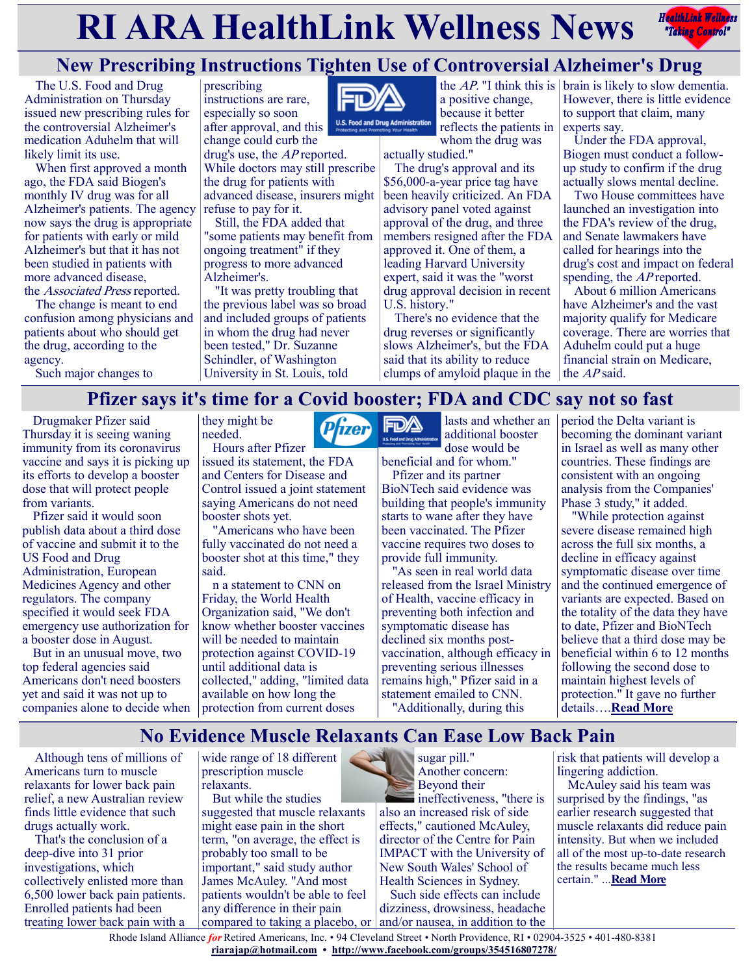# **RIARA HealthLink Wellness News** *<b>Redistribles*



# **New Prescribing Instructions Tighten Use of Controversial Alzheimer's Drug**

The U.S. Food and Drug Administration on Thursday issued new prescribing rules for the controversial Alzheimer's medication Aduhelm that will likely limit its use.

When first approved a month ago, the FDA said Biogen's monthly IV drug was for all Alzheimer's patients. The agency now says the drug is appropriate for patients with early or mild Alzheimer's but that it has not been studied in patients with more advanced disease, the Associated Press reported.

The change is meant to end confusion among physicians and patients about who should get the drug, according to the agency.

Such major changes to

prescribing instructions are rare, especially so soon after approval, and this change could curb the drug's use, the AP reported. While doctors may still prescribe the drug for patients with advanced disease, insurers might refuse to pay for it.

Still, the FDA added that "some patients may benefit from ongoing treatment" if they progress to more advanced Alzheimer's.

"It was pretty troubling that the previous label was so broad and included groups of patients in whom the drug had never been tested," Dr. Suzanne Schindler, of Washington University in St. Louis, told



a positive change, because it better reflects the patients in whom the drug was actually studied."

The drug's approval and its \$56,000-a-year price tag have been heavily criticized. An FDA advisory panel voted against approval of the drug, and three members resigned after the FDA approved it. One of them, a leading Harvard University expert, said it was the "worst drug approval decision in recent U.S. history."

There's no evidence that the drug reverses or significantly slows Alzheimer's, but the FDA said that its ability to reduce clumps of amyloid plaque in the

the  $AP$ . "I think this is | brain is likely to slow dementia. However, there is little evidence to support that claim, many experts say.

> Under the FDA approval, Biogen must conduct a followup study to confirm if the drug actually slows mental decline.

Two House committees have launched an investigation into the FDA's review of the drug, and Senate lawmakers have called for hearings into the drug's cost and impact on federal spending, the *AP* reported.

About 6 million Americans have Alzheimer's and the vast majority qualify for Medicare coverage. There are worries that Aduhelm could put a huge financial strain on Medicare, the AP said.

# **Pfizer says it's time for a Covid booster; FDA and CDC say not so fast**

Drugmaker Pfizer said Thursday it is seeing waning immunity from its coronavirus vaccine and says it is picking up its efforts to develop a booster dose that will protect people from variants.

Pfizer said it would soon publish data about a third dose of vaccine and submit it to the US Food and Drug Administration, European Medicines Agency and other regulators. The company specified it would seek FDA emergency use authorization for a booster dose in August.

But in an unusual move, two top federal agencies said Americans don't need boosters yet and said it was not up to companies alone to decide when

they might be needed. Hours after Pfizer

issued its statement, the FDA and Centers for Disease and Control issued a joint statement saying Americans do not need booster shots yet.

"Americans who have been fully vaccinated do not need a booster shot at this time," they said.

n a statement to CNN on Friday, the World Health Organization said, "We don't know whether booster vaccines will be needed to maintain protection against COVID-19 until additional data is collected," adding, "limited data available on how long the protection from current doses

Pfizer FDA

lasts and whether an additional booster dose would be

beneficial and for whom." Pfizer and its partner

BioNTech said evidence was building that people's immunity starts to wane after they have been vaccinated. The Pfizer vaccine requires two doses to provide full immunity.

"As seen in real world data released from the Israel Ministry of Health, vaccine efficacy in preventing both infection and symptomatic disease has declined six months postvaccination, although efficacy in preventing serious illnesses remains high," Pfizer said in a statement emailed to CNN. "Additionally, during this

period the Delta variant is becoming the dominant variant in Israel as well as many other countries. These findings are consistent with an ongoing analysis from the Companies' Phase 3 study," it added.

"While protection against severe disease remained high across the full six months, a decline in efficacy against symptomatic disease over time and the continued emergence of variants are expected. Based on the totality of the data they have to date, Pfizer and BioNTech believe that a third dose may be beneficial within 6 to 12 months following the second dose to maintain highest levels of protection." It gave no further details….**[Read More](https://www.cnn.com/2021/07/08/health/pfizer-waning-immunity-bn/index.html)**

**No Evidence Muscle Relaxants Can Ease Low Back Pain**

Although tens of millions of Americans turn to muscle relaxants for lower back pain relief, a new Australian review finds little evidence that such drugs actually work.

That's the conclusion of a deep-dive into 31 prior investigations, which collectively enlisted more than 6,500 lower back pain patients. Enrolled patients had been treating lower back pain with a

wide range of 18 different prescription muscle relaxants.

But while the studies suggested that muscle relaxants might ease pain in the short term, "on average, the effect is probably too small to be important," said study author James McAuley. "And most patients wouldn't be able to feel any difference in their pain compared to taking a placebo, or



also an increased risk of side effects," cautioned McAuley, director of the Centre for Pain IMPACT with the University of New South Wales' School of Health Sciences in Sydney.

Such side effects can include dizziness, drowsiness, headache and/or nausea, in addition to the

risk that patients will develop a lingering addiction.

McAuley said his team was surprised by the findings, "as earlier research suggested that muscle relaxants did reduce pain intensity. But when we included all of the most up-to-date research the results became much less certain." ...**[Read More](https://consumer.healthday.com/7-9-no-evidence-muscle-relaxants-actually-ease-low-back-pain-2653690499.html)**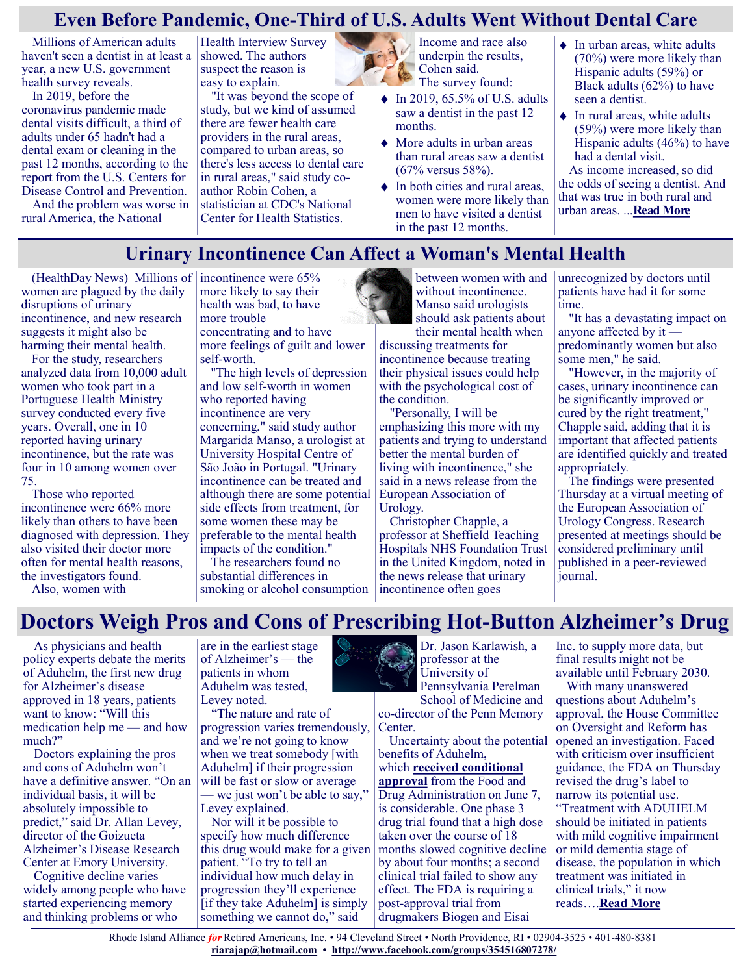#### **Even Before Pandemic, One-Third of U.S. Adults Went Without Dental Care**

Millions of American adults haven't seen a dentist in at least a year, a new U.S. government health survey reveals.

In 2019, before the coronavirus pandemic made dental visits difficult, a third of adults under 65 hadn't had a dental exam or cleaning in the past 12 months, according to the report from the U.S. Centers for Disease Control and Prevention.

And the problem was worse in rural America, the National

Health Interview Survey showed. The authors suspect the reason is easy to explain.

"It was beyond the scope of study, but we kind of assumed there are fewer health care providers in the rural areas, compared to urban areas, so there's less access to dental care in rural areas," said study coauthor Robin Cohen, a statistician at CDC's National Center for Health Statistics.

Income and race also underpin the results, Cohen said.

The survey found:

- $\bullet$  In 2019, 65.5% of U.S. adults saw a dentist in the past 12 months.
- More adults in urban areas than rural areas saw a dentist (67% versus 58%).
- In both cities and rural areas, women were more likely than men to have visited a dentist in the past 12 months.
- $\bullet$  In urban areas, white adults (70%) were more likely than Hispanic adults (59%) or Black adults (62%) to have seen a dentist.
- $\bullet$  In rural areas, white adults (59%) were more likely than Hispanic adults (46%) to have had a dental visit.

As income increased, so did the odds of seeing a dentist. And that was true in both rural and urban areas. ...**[Read More](https://consumer.healthday.com/7-9-even-before-pandemic-a-third-of-u-s-adults-went-without-dental-care-2653688110.html)**

# **Urinary Incontinence Can Affect a Woman's Mental Health**

(HealthDay News) Millions of incontinence were 65% women are plagued by the daily disruptions of urinary incontinence, and new research suggests it might also be harming their mental health.

For the study, researchers analyzed data from 10,000 adult women who took part in a Portuguese Health Ministry survey conducted every five years. Overall, one in 10 reported having urinary incontinence, but the rate was four in 10 among women over 75.

Those who reported incontinence were 66% more likely than others to have been diagnosed with depression. They also visited their doctor more often for mental health reasons, the investigators found.

Also, women with

more likely to say their health was bad, to have more trouble concentrating and to have more feelings of guilt and lower self-worth.

"The high levels of depression and low self-worth in women who reported having incontinence are very concerning," said study author Margarida Manso, a urologist at University Hospital Centre of São João in Portugal. "Urinary incontinence can be treated and although there are some potential side effects from treatment, for some women these may be preferable to the mental health impacts of the condition."

The researchers found no substantial differences in smoking or alcohol consumption

between women with and without incontinence. Manso said urologists should ask patients about

their mental health when discussing treatments for incontinence because treating their physical issues could help with the psychological cost of the condition.

"Personally, I will be emphasizing this more with my patients and trying to understand better the mental burden of living with incontinence," she said in a news release from the European Association of Urology.

Christopher Chapple, a professor at Sheffield Teaching Hospitals NHS Foundation Trust in the United Kingdom, noted in the news release that urinary incontinence often goes

unrecognized by doctors until patients have had it for some time.

"It has a devastating impact on anyone affected by it predominantly women but also some men," he said.

"However, in the majority of cases, urinary incontinence can be significantly improved or cured by the right treatment," Chapple said, adding that it is important that affected patients are identified quickly and treated appropriately.

The findings were presented Thursday at a virtual meeting of the European Association of Urology Congress. Research presented at meetings should be considered preliminary until published in a peer-reviewed journal.

# **Doctors Weigh Pros and Cons of Prescribing Hot-Button Alzheimer's Drug**

As physicians and health policy experts debate the merits of Aduhelm, the first new drug for Alzheimer's disease approved in 18 years, patients want to know: "Will this medication help me — and how much?"

Doctors explaining the pros and cons of Aduhelm won't have a definitive answer. "On an individual basis, it will be absolutely impossible to predict," said Dr. Allan Levey, director of the Goizueta Alzheimer's Disease Research Center at Emory University.

Cognitive decline varies widely among people who have started experiencing memory and thinking problems or who

are in the earliest stage of Alzheimer's — the patients in whom Aduhelm was tested, Levey noted.

"The nature and rate of progression varies tremendously, and we're not going to know when we treat somebody [with Aduhelm] if their progression will be fast or slow or average — we just won't be able to say,"

Levey explained.

Nor will it be possible to specify how much difference this drug would make for a given patient. "To try to tell an individual how much delay in progression they'll experience [if they take Aduhelm] is simply something we cannot do," said



Dr. Jason Karlawish, a professor at the University of Pennsylvania Perelman School of Medicine and

co-director of the Penn Memory Center.

Uncertainty about the potential benefits of Aduhelm, which **[received conditional](https://www.fda.gov/drugs/news-events-human-drugs/fdas-decision-approve-new-treatment-alzheimers-disease)  [approval](https://www.fda.gov/drugs/news-events-human-drugs/fdas-decision-approve-new-treatment-alzheimers-disease)** from the Food and Drug Administration on June 7, is considerable. One phase 3 drug trial found that a high dose taken over the course of 18 months slowed cognitive decline by about four months; a second clinical trial failed to show any effect. The FDA is requiring a post-approval trial from drugmakers Biogen and Eisai

Inc. to supply more data, but final results might not be available until February 2030.

With many unanswered questions about Aduhelm's approval, the House Committee on Oversight and Reform has opened an investigation. Faced with criticism over insufficient guidance, the FDA on Thursday revised the drug's label to narrow its potential use. "Treatment with ADUHELM should be initiated in patients with mild cognitive impairment or mild dementia stage of disease, the population in which treatment was initiated in clinical trials," it now reads….**[Read More](https://khn.org/news/article/doctors-weigh-pros-and-cons-of-prescribing-hot-button-alzheimers-drug/)**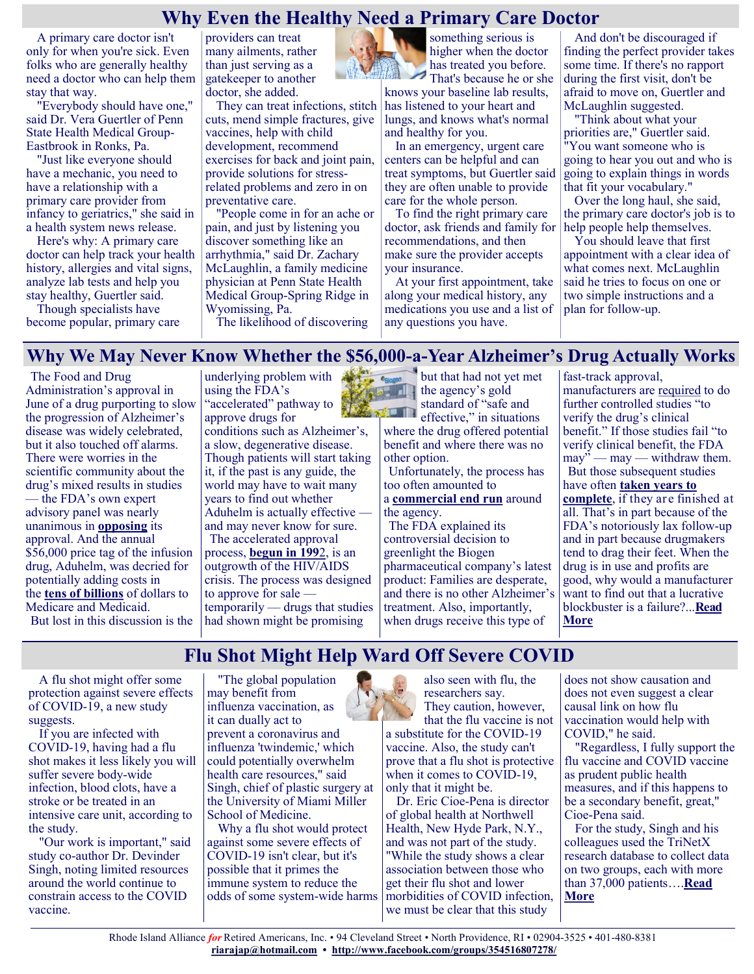#### **Why Even the Healthy Need a Primary Care Doctor**

A primary care doctor isn't only for when you're sick. Even folks who are generally healthy need a doctor who can help them stay that way.

"Everybody should have one," said Dr. Vera Guertler of Penn State Health Medical Group-Eastbrook in Ronks, Pa.

"Just like everyone should have a mechanic, you need to have a relationship with a primary care provider from infancy to geriatrics," she said in a health system news release.

Here's why: A primary care doctor can help track your health history, allergies and vital signs, analyze lab tests and help you stay healthy, Guertler said.

Though specialists have become popular, primary care providers can treat many ailments, rather than just serving as a gatekeeper to another doctor, she added.

cuts, mend simple fractures, give vaccines, help with child development, recommend exercises for back and joint pain, provide solutions for stressrelated problems and zero in on preventative care.

"People come in for an ache or pain, and just by listening you discover something like an arrhythmia," said Dr. Zachary McLaughlin, a family medicine physician at Penn State Health Medical Group-Spring Ridge in Wyomissing, Pa.

The likelihood of discovering

using the FDA's

"accelerated" pathway to



something serious is higher when the doctor has treated you before. That's because he or she

They can treat infections, stitch has listened to your heart and knows your baseline lab results, lungs, and knows what's normal and healthy for you.

> In an emergency, urgent care centers can be helpful and can treat symptoms, but Guertler said they are often unable to provide care for the whole person.

> To find the right primary care doctor, ask friends and family for recommendations, and then make sure the provider accepts your insurance.

At your first appointment, take along your medical history, any medications you use and a list of any questions you have.

And don't be discouraged if finding the perfect provider takes some time. If there's no rapport during the first visit, don't be afraid to move on, Guertler and McLaughlin suggested.

"Think about what your priorities are," Guertler said. "You want someone who is going to hear you out and who is going to explain things in words that fit your vocabulary."

Over the long haul, she said, the primary care doctor's job is to help people help themselves.

You should leave that first appointment with a clear idea of what comes next. McLaughlin said he tries to focus on one or two simple instructions and a plan for follow-up.

#### **Why We May Never Know Whether the \$56,000-a-Year Alzheimer's Drug Actually Works**

The Food and Drug Administration's approval in June of a drug purporting to slow the progression of Alzheimer's disease was widely celebrated, but it also touched off alarms. There were worries in the scientific community about the drug's mixed results in studies — the FDA's own expert advisory panel was nearly unanimous in **[opposing](https://www.biospace.com/article/2-fda-advisory-committee-members-resign-over-biogen-alzheimer-s-drug-approval/)** its approval. And the annual \$56,000 price tag of the infusion drug, Aduhelm, was decried for potentially adding costs in the **[tens of billions](https://twitter.com/sangerkatz/status/1407327846167683073)** of dollars to Medicare and Medicaid. But lost in this discussion is the

approve drugs for conditions such as Alzheimer's, a slow, degenerative disease. Though patients will start taking it, if the past is any guide, the world may have to wait many years to find out whether Aduhelm is actually effective and may never know for sure. The accelerated approval process, **[begun in 199](https://www.cureffi.org/2016/10/20/the-deal-with-accelerated-approval/)**2, is an outgrowth of the HIV/AIDS crisis. The process was designed to approve for sale temporarily — drugs that studies had shown might be promising



but that had not yet met the agency's gold standard of "safe and

ा म effective," in situations where the drug offered potential benefit and where there was no other option.

Unfortunately, the process has too often amounted to

a **[commercial end run](https://www.dtnpf.com/agriculture/web/ag/news/article/2021/04/25/fda-scrutinize-unproven-cancer-drugs)** around the agency.

The FDA explained its controversial decision to greenlight the Biogen pharmaceutical company's latest product: Families are desperate, and there is no other Alzheimer's treatment. Also, importantly, when drugs receive this type of

fast-track approval, manufacturers are [required](https://www.fda.gov/news-events/press-announcements/fda-grants-accelerated-approval-alzheimers-drug) to do further controlled studies "to verify the drug's clinical benefit." If those studies fail "to verify clinical benefit, the FDA  $\text{may}$ " — may — withdraw them. But those subsequent studies have often **[taken years to](https://www.ncbi.nlm.nih.gov/pmc/articles/PMC5862299/)  [complete](https://www.ncbi.nlm.nih.gov/pmc/articles/PMC5862299/)**, if they are finished at all. That's in part because of the FDA's notoriously lax follow-up and in part because drugmakers tend to drag their feet. When the drug is in use and profits are good, why would a manufacturer want to find out that a lucrative blockbuster is a failure?...**[Read](https://khn.org/news/article/commentary-aduhelm-alzheimers-drug-effectiveness/)  [More](https://khn.org/news/article/commentary-aduhelm-alzheimers-drug-effectiveness/)**

# **Flu Shot Might Help Ward Off Severe COVID**

A flu shot might offer some protection against severe effects of COVID-19, a new study suggests.

If you are infected with COVID-19, having had a flu shot makes it less likely you will suffer severe body-wide infection, blood clots, have a stroke or be treated in an intensive care unit, according to the study.

"Our work is important," said study co-author Dr. Devinder Singh, noting limited resources around the world continue to constrain access to the COVID vaccine.

"The global population may benefit from influenza vaccination, as it can dually act to prevent a coronavirus and influenza 'twindemic,' which could potentially overwhelm health care resources," said Singh, chief of plastic surgery at the University of Miami Miller School of Medicine.

Why a flu shot would protect against some severe effects of COVID-19 isn't clear, but it's possible that it primes the immune system to reduce the odds of some system-wide harms

also seen with flu, the researchers say. They caution, however,

that the flu vaccine is not a substitute for the COVID-19 vaccine. Also, the study can't prove that a flu shot is protective when it comes to COVID-19, only that it might be.

Dr. Eric Cioe-Pena is director of global health at Northwell Health, New Hyde Park, N.Y., and was not part of the study. "While the study shows a clear association between those who get their flu shot and lower morbidities of COVID infection, we must be clear that this study

does not show causation and does not even suggest a clear causal link on how flu vaccination would help with COVID," he said.

"Regardless, I fully support the flu vaccine and COVID vaccine as prudent public health measures, and if this happens to be a secondary benefit, great," Cioe-Pena said.

For the study, Singh and his colleagues used the TriNetX research database to collect data on two groups, each with more than 37,000 patients….**[Read](https://consumer.healthday.com/7-12-flu-shot-might-help-ward-off-severe-covid-too-2653727606.html)  [More](https://consumer.healthday.com/7-12-flu-shot-might-help-ward-off-severe-covid-too-2653727606.html)**